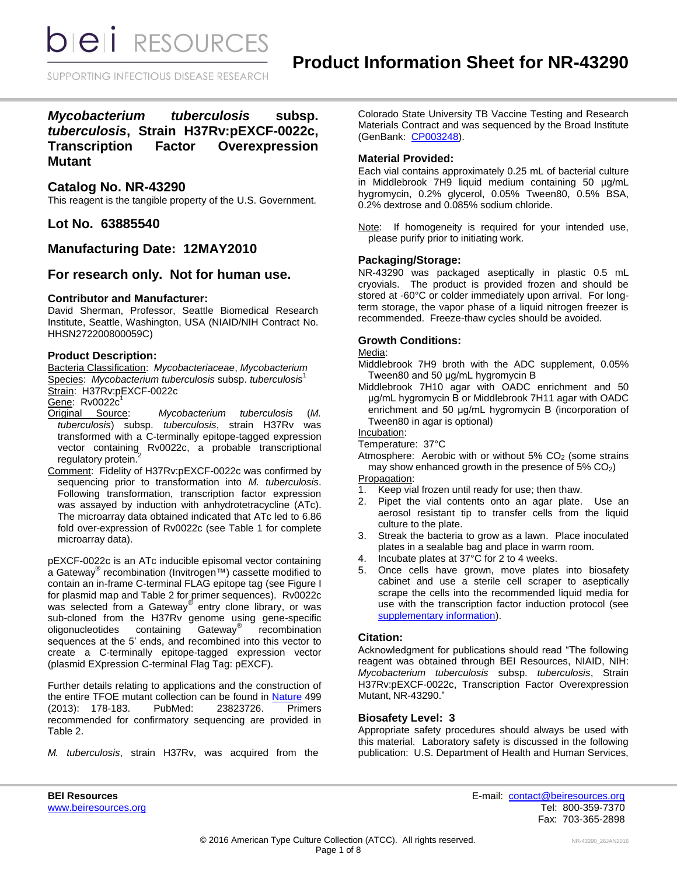SUPPORTING INFECTIOUS DISEASE RESEARCH

*Mycobacterium tuberculosis* **subsp.**  *tuberculosis***, Strain H37Rv:pEXCF-0022c, Transcription Factor Overexpression Mutant**

### **Catalog No. NR-43290**

This reagent is the tangible property of the U.S. Government.

**Lot No. 63885540**

## **Manufacturing Date: 12MAY2010**

### **For research only. Not for human use.**

#### **Contributor and Manufacturer:**

David Sherman, Professor, Seattle Biomedical Research Institute, Seattle, Washington, USA (NIAID/NIH Contract No. HHSN272200800059C)

#### **Product Description:**

Bacteria Classification: *Mycobacteriaceae*, *Mycobacterium* Species: *Mycobacterium tuberculosis* subsp. *tuberculosis*<sup>1</sup> Strain: H37Rv:pEXCF-0022c

Gene: Rv0022c<sup>1</sup>

- Original Source: *Mycobacterium tuberculosis* (*M. tuberculosis*) subsp. *tuberculosis*, strain H37Rv was transformed with a C-terminally epitope-tagged expression vector containing Rv0022c, a probable transcriptional<br>regulatory protein.<sup>2</sup> regulatory protein.
- Comment: Fidelity of H37Rv:pEXCF-0022c was confirmed by sequencing prior to transformation into *M. tuberculosis*. Following transformation, transcription factor expression was assayed by induction with anhydrotetracycline (ATc). The microarray data obtained indicated that ATc led to 6.86 fold over-expression of Rv0022c (see Table 1 for complete microarray data).

pEXCF-0022c is an ATc inducible episomal vector containing a Gateway® recombination (Invitrogen™) cassette modified to contain an in-frame C-terminal FLAG epitope tag (see Figure I for plasmid map and Table 2 for primer sequences). Rv0022c was selected from a Gateway<sup>®</sup> entry clone library, or was sub-cloned from the H37Rv genome using gene-specific oligonucleotides containing Gateway®  $\overline{\text{Gateway}}^{\text{max}}$  recombination sequences at the 5' ends, and recombined into this vector to create a C-terminally epitope-tagged expression vector (plasmid EXpression C-terminal Flag Tag: pEXCF).

Further details relating to applications and the construction of the entire TFOE mutant collection can be found in [Nature](http://www.nature.com/nature/journal/v499/n7457/full/nature12337.html) 499 (2013): 178-183. PubMed: 23823726. Primers recommended for confirmatory sequencing are provided in Table 2.

*M. tuberculosis*, strain H37Rv, was acquired from the

Colorado State University TB Vaccine Testing and Research Materials Contract and was sequenced by the Broad Institute (GenBank: [CP003248\)](http://www.ncbi.nlm.nih.gov/nuccore/CP003248).

#### **Material Provided:**

Each vial contains approximately 0.25 mL of bacterial culture in Middlebrook 7H9 liquid medium containing 50 µg/mL hygromycin, 0.2% glycerol, 0.05% Tween80, 0.5% BSA, 0.2% dextrose and 0.085% sodium chloride.

Note: If homogeneity is required for your intended use, please purify prior to initiating work.

#### **Packaging/Storage:**

NR-43290 was packaged aseptically in plastic 0.5 mL cryovials. The product is provided frozen and should be stored at -60°C or colder immediately upon arrival. For longterm storage, the vapor phase of a liquid nitrogen freezer is recommended. Freeze-thaw cycles should be avoided.

#### **Growth Conditions:**

#### Media:

Middlebrook 7H9 broth with the ADC supplement, 0.05% Tween80 and 50 μg/mL hygromycin B

Middlebrook 7H10 agar with OADC enrichment and 50 μg/mL hygromycin B or Middlebrook 7H11 agar with OADC enrichment and 50 μg/mL hygromycin B (incorporation of Tween80 in agar is optional)

Incubation:

Temperature: 37°C

Atmosphere: Aerobic with or without  $5\%$  CO<sub>2</sub> (some strains may show enhanced growth in the presence of  $5\%$  CO<sub>2</sub>) Propagation:

- 1. Keep vial frozen until ready for use; then thaw.
- 2. Pipet the vial contents onto an agar plate. Use an aerosol resistant tip to transfer cells from the liquid culture to the plate.
- 3. Streak the bacteria to grow as a lawn. Place inoculated plates in a sealable bag and place in warm room.
- 4. Incubate plates at 37°C for 2 to 4 weeks.
- 5. Once cells have grown, move plates into biosafety cabinet and use a sterile cell scraper to aseptically scrape the cells into the recommended liquid media for use with the transcription factor induction protocol (see [supplementary information\)](http://www.nature.com/nature/journal/v499/n7457/extref/nature12337-s1.pdf).

### **Citation:**

Acknowledgment for publications should read "The following reagent was obtained through BEI Resources, NIAID, NIH: *Mycobacterium tuberculosis* subsp. *tuberculosis*, Strain H37Rv:pEXCF-0022c, Transcription Factor Overexpression Mutant, NR-43290."

#### **Biosafety Level: 3**

Appropriate safety procedures should always be used with this material. Laboratory safety is discussed in the following publication: U.S. Department of Health and Human Services,

**BEI Resources** E-mail: [contact@beiresources.org](mailto:contact@beiresources.org) [www.beiresources.org](http://www.beiresources.org/) **Tel: 800-359-7370** Fax: 703-365-2898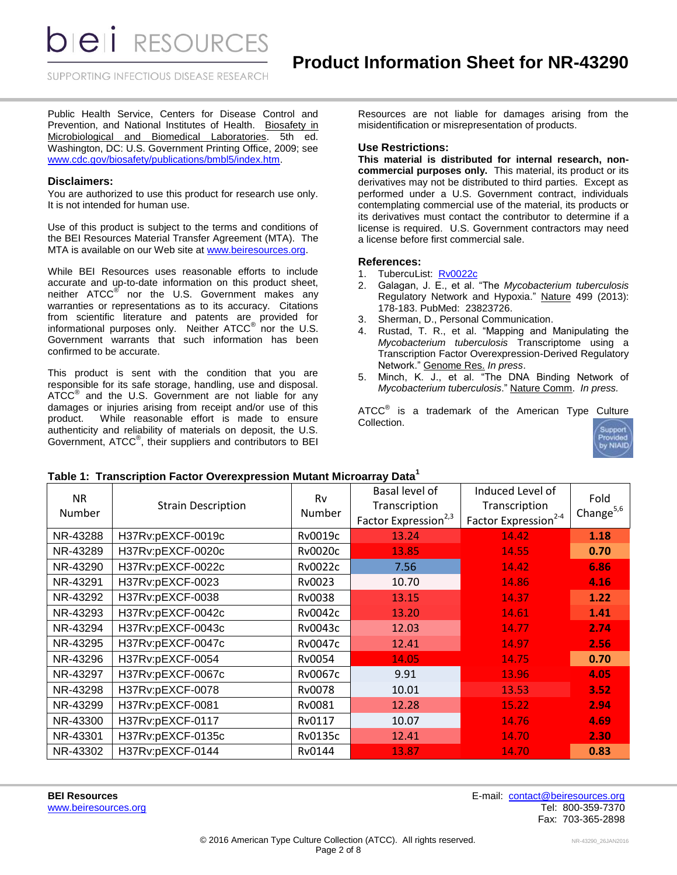*DIEI RESOURCES* 

SUPPORTING INFECTIOUS DISEASE RESEARCH

Public Health Service, Centers for Disease Control and Prevention, and National Institutes of Health. Biosafety in Microbiological and Biomedical Laboratories. 5th ed. Washington, DC: U.S. Government Printing Office, 2009; see [www.cdc.gov/biosafety/publications/bmbl5/index.htm.](http://www.cdc.gov/biosafety/publications/bmbl5/index.htm)

#### **Disclaimers:**

You are authorized to use this product for research use only. It is not intended for human use.

Use of this product is subject to the terms and conditions of the BEI Resources Material Transfer Agreement (MTA). The MTA is available on our Web site at [www.beiresources.org.](http://www.beiresources.org/)

While BEI Resources uses reasonable efforts to include accurate and up-to-date information on this product sheet, neither ATCC<sup>®</sup> nor the U.S. Government makes any warranties or representations as to its accuracy. Citations from scientific literature and patents are provided for informational purposes only. Neither  $\tt{ATCC}^{\circledR}$  nor the U.S. Government warrants that such information has been confirmed to be accurate.

This product is sent with the condition that you are responsible for its safe storage, handling, use and disposal. ATCC<sup>®</sup> and the U.S. Government are not liable for any damages or injuries arising from receipt and/or use of this product. While reasonable effort is made to ensure authenticity and reliability of materials on deposit, the U.S. Government, ATCC®, their suppliers and contributors to BEI

Resources are not liable for damages arising from the misidentification or misrepresentation of products.

### **Use Restrictions:**

**This material is distributed for internal research, noncommercial purposes only.** This material, its product or its derivatives may not be distributed to third parties. Except as performed under a U.S. Government contract, individuals contemplating commercial use of the material, its products or its derivatives must contact the contributor to determine if a license is required. U.S. Government contractors may need a license before first commercial sale.

#### **References:**

- 1. TubercuList: [Rv0022c](http://tuberculist.epfl.ch/quicksearch.php?gene+name=Rv0022c)
- 2. Galagan, J. E., et al. "The *Mycobacterium tuberculosis* Regulatory Network and Hypoxia." Nature 499 (2013): 178-183. PubMed: 23823726.
- 3. Sherman, D., Personal Communication.<br>4. Rustad, T. R.. et al. "Mapning and I
- Rustad, T. R., et al. "Mapping and Manipulating the *Mycobacterium tuberculosis* Transcriptome using a Transcription Factor Overexpression-Derived Regulatory Network." Genome Res. *In press*.
- 5. Minch, K. J., et al. "The DNA Binding Network of *Mycobacterium tuberculosis*." Nature Comm. *In press.*

ATCC $^{\circ}$  is a trademark of the American Type Culture Collection.



#### **Table 1: Transcription Factor Overexpression Mutant Microarray Data<sup>1</sup>**

| <b>NR</b><br>Number | <b>Strain Description</b> | Basal level of<br>Rv<br>Transcription<br>Number<br>Factor Expression <sup>2,3</sup> |       | Induced Level of<br>Transcription<br>Factor Expression <sup>2-4</sup> | Fold<br>Change $5,6$ |
|---------------------|---------------------------|-------------------------------------------------------------------------------------|-------|-----------------------------------------------------------------------|----------------------|
| NR-43288            | H37Rv:pEXCF-0019c         | Rv0019c                                                                             | 13.24 | 14.42                                                                 | 1.18                 |
| NR-43289            | H37Rv:pEXCF-0020c         | Rv0020c                                                                             | 13.85 | 14.55                                                                 | 0.70                 |
| NR-43290            | H37Rv:pEXCF-0022c         | Rv0022c                                                                             | 7.56  | 14.42                                                                 | 6.86                 |
| NR-43291            | H37Rv:pEXCF-0023          | Rv0023                                                                              | 10.70 | 14.86                                                                 | 4.16                 |
| NR-43292            | H37Rv:pEXCF-0038          | Rv0038                                                                              | 13.15 | 14.37                                                                 | 1.22                 |
| NR-43293            | H37Rv:pEXCF-0042c         | Rv0042c                                                                             | 13.20 | 14.61                                                                 | 1.41                 |
| NR-43294            | H37Rv:pEXCF-0043c         | Rv0043c                                                                             | 12.03 | 14.77                                                                 | 2.74                 |
| NR-43295            | H37Rv:pEXCF-0047c         | <b>Rv0047c</b>                                                                      | 12.41 | 14.97                                                                 | 2.56                 |
| NR-43296            | H37Rv:pEXCF-0054          | Rv0054                                                                              | 14.05 | 14.75                                                                 | 0.70                 |
| NR-43297            | H37Rv:pEXCF-0067c         | Rv0067c                                                                             | 9.91  | 13.96                                                                 | 4.05                 |
| NR-43298            | H37Rv:pEXCF-0078          | <b>Rv0078</b>                                                                       | 10.01 | 13.53                                                                 | 3.52                 |
| NR-43299            | H37Rv:pEXCF-0081          | Rv0081                                                                              | 12.28 | 15.22                                                                 | 2.94                 |
| NR-43300            | H37Rv:pEXCF-0117          | Rv0117                                                                              | 10.07 | 14.76                                                                 | 4.69                 |
| NR-43301            | H37Rv:pEXCF-0135c         | <b>Rv0135c</b>                                                                      | 12.41 | 14.70                                                                 | 2.30                 |
| NR-43302            | H37Rv:pEXCF-0144          | Rv0144                                                                              | 13.87 | 14.70                                                                 | 0.83                 |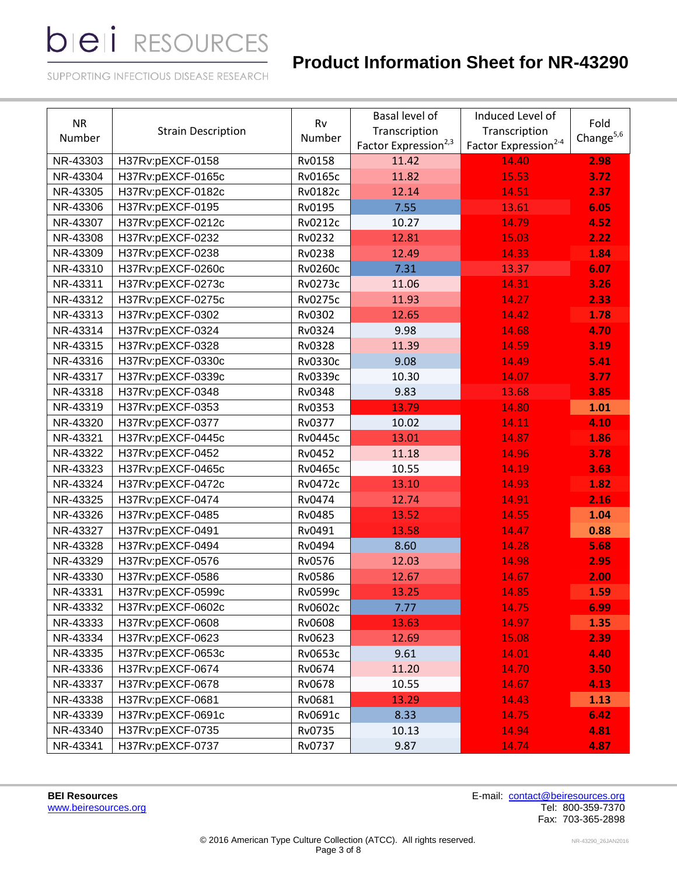# **Product Information Sheet for NR-43290**

SUPPORTING INFECTIOUS DISEASE RESEARCH

| <b>NR</b><br>Number | <b>Strain Description</b> | Basal level of<br>Rv<br>Transcription<br>Number<br>Factor Expression <sup>2,3</sup> |       | Induced Level of<br>Transcription<br>Factor Expression <sup>2-4</sup> | Fold<br>Change $5,6$ |
|---------------------|---------------------------|-------------------------------------------------------------------------------------|-------|-----------------------------------------------------------------------|----------------------|
| NR-43303            | H37Rv:pEXCF-0158          | Rv0158                                                                              | 11.42 | 14.40                                                                 | 2.98                 |
| NR-43304            | H37Rv:pEXCF-0165c         | <b>Rv0165c</b>                                                                      | 11.82 | 15.53                                                                 | 3.72                 |
| NR-43305            | H37Rv:pEXCF-0182c         | <b>Rv0182c</b>                                                                      | 12.14 | 14.51                                                                 | 2.37                 |
| NR-43306            | H37Rv:pEXCF-0195          | Rv0195                                                                              | 7.55  | 13.61                                                                 | 6.05                 |
| NR-43307            | H37Rv:pEXCF-0212c         | Rv0212c                                                                             | 10.27 | 14.79                                                                 | 4.52                 |
| NR-43308            | H37Rv:pEXCF-0232          | Rv0232                                                                              | 12.81 | 15.03                                                                 | 2.22                 |
| NR-43309            | H37Rv:pEXCF-0238          | Rv0238                                                                              | 12.49 | 14.33                                                                 | 1.84                 |
| NR-43310            | H37Rv:pEXCF-0260c         | <b>Rv0260c</b>                                                                      | 7.31  | 13.37                                                                 | 6.07                 |
| NR-43311            | H37Rv:pEXCF-0273c         | <b>Rv0273c</b>                                                                      | 11.06 | 14.31                                                                 | 3.26                 |
| NR-43312            | H37Rv:pEXCF-0275c         | <b>Rv0275c</b>                                                                      | 11.93 | 14.27                                                                 | 2.33                 |
| NR-43313            | H37Rv:pEXCF-0302          | Rv0302                                                                              | 12.65 | 14.42                                                                 | 1.78                 |
| NR-43314            | H37Rv:pEXCF-0324          | Rv0324                                                                              | 9.98  | 14.68                                                                 | 4.70                 |
| NR-43315            | H37Rv:pEXCF-0328          | Rv0328                                                                              | 11.39 | 14.59                                                                 | 3.19                 |
| NR-43316            | H37Rv:pEXCF-0330c         | Rv0330c                                                                             | 9.08  | 14.49                                                                 | 5.41                 |
| NR-43317            | H37Rv:pEXCF-0339c         | Rv0339c                                                                             | 10.30 | 14.07                                                                 | 3.77                 |
| NR-43318            | H37Rv:pEXCF-0348          | Rv0348                                                                              | 9.83  | 13.68                                                                 | 3.85                 |
| NR-43319            | H37Rv:pEXCF-0353          | Rv0353                                                                              | 13.79 | 14.80                                                                 | 1.01                 |
| NR-43320            | H37Rv:pEXCF-0377          | Rv0377                                                                              | 10.02 | 14.11                                                                 | 4.10                 |
| NR-43321            | H37Rv:pEXCF-0445c         | <b>Rv0445c</b>                                                                      | 13.01 | 14.87                                                                 | 1.86                 |
| NR-43322            | H37Rv:pEXCF-0452          | Rv0452                                                                              | 11.18 | 14.96                                                                 | 3.78                 |
| NR-43323            | H37Rv:pEXCF-0465c         | <b>Rv0465c</b>                                                                      | 10.55 | 14.19                                                                 | 3.63                 |
| NR-43324            | H37Rv:pEXCF-0472c         | <b>Rv0472c</b>                                                                      | 13.10 | 14.93                                                                 | 1.82                 |
| NR-43325            | H37Rv:pEXCF-0474          | Rv0474                                                                              | 12.74 | 14.91                                                                 | 2.16                 |
| NR-43326            | H37Rv:pEXCF-0485          | Rv0485                                                                              | 13.52 | 14.55                                                                 | 1.04                 |
| NR-43327            | H37Rv:pEXCF-0491          | Rv0491                                                                              | 13.58 | 14.47                                                                 | 0.88                 |
| NR-43328            | H37Rv:pEXCF-0494          | Rv0494                                                                              | 8.60  | 14.28                                                                 | 5.68                 |
| NR-43329            | H37Rv:pEXCF-0576          | Rv0576                                                                              | 12.03 | 14.98                                                                 | 2.95                 |
| NR-43330            | H37Rv:pEXCF-0586          | Rv0586                                                                              | 12.67 | 14.67                                                                 | 2.00                 |
| NR-43331            | H37Rv:pEXCF-0599c         | Rv0599c                                                                             | 13.25 | 14.85                                                                 | 1.59                 |
| NR-43332            | H37Rv:pEXCF-0602c         | Rv0602c                                                                             | 7.77  | 14.75                                                                 | 6.99                 |
| NR-43333            | H37Rv:pEXCF-0608          | Rv0608                                                                              | 13.63 | 14.97                                                                 | 1.35                 |
| NR-43334            | H37Rv:pEXCF-0623          | Rv0623                                                                              | 12.69 | 15.08                                                                 | 2.39                 |
| NR-43335            | H37Rv:pEXCF-0653c         | Rv0653c                                                                             | 9.61  | 14.01                                                                 | 4.40                 |
| NR-43336            | H37Rv:pEXCF-0674          | Rv0674                                                                              | 11.20 | 14.70                                                                 | 3.50                 |
| NR-43337            | H37Rv:pEXCF-0678          | Rv0678                                                                              | 10.55 | 14.67                                                                 | 4.13                 |
| NR-43338            | H37Rv:pEXCF-0681          | Rv0681                                                                              | 13.29 | 14.43                                                                 | 1.13                 |
| NR-43339            | H37Rv:pEXCF-0691c         | Rv0691c                                                                             | 8.33  | 14.75                                                                 | 6.42                 |
| NR-43340            | H37Rv:pEXCF-0735          | Rv0735                                                                              | 10.13 | 14.94                                                                 | 4.81                 |
| NR-43341            | H37Rv:pEXCF-0737          | Rv0737                                                                              | 9.87  | 14.74                                                                 | 4.87                 |

[www.beiresources.org](http://www.beiresources.org/)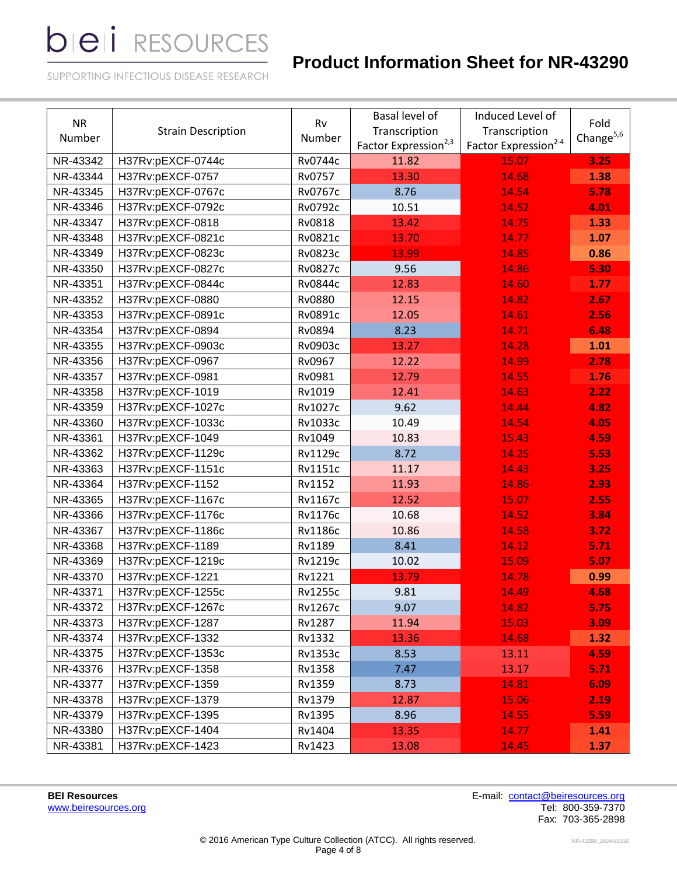# **Product Information Sheet for NR-43290**

SUPPORTING INFECTIOUS DISEASE RESEARCH

| <b>NR</b><br>Number | <b>Strain Description</b> | Rv<br>Number   | Basal level of<br>Transcription<br>Factor Expression <sup>2,3</sup> | Induced Level of<br>Transcription<br>Factor Expression <sup>2-4</sup> | Fold<br>Change $5,6$ |
|---------------------|---------------------------|----------------|---------------------------------------------------------------------|-----------------------------------------------------------------------|----------------------|
| NR-43342            | H37Rv:pEXCF-0744c         | Rv0744c        | 11.82                                                               | 15.07                                                                 | 3.25                 |
| NR-43344            | H37Rv:pEXCF-0757          | Rv0757         | 13.30                                                               | 14.68                                                                 | 1.38                 |
| NR-43345            | H37Rv:pEXCF-0767c         | Rv0767c        | 8.76                                                                | 14.54                                                                 | 5.78                 |
| NR-43346            | H37Rv:pEXCF-0792c         | Rv0792c        | 10.51                                                               | 14.52                                                                 | 4.01                 |
| NR-43347            | H37Rv:pEXCF-0818          | Rv0818         | 13.42                                                               | 14.75                                                                 | 1.33                 |
| NR-43348            | H37Rv:pEXCF-0821c         | Rv0821c        | 13.70                                                               | 14.77                                                                 | 1.07                 |
| NR-43349            | H37Rv:pEXCF-0823c         | Rv0823c        | 13.99                                                               | 14.85                                                                 | 0.86                 |
| NR-43350            | H37Rv:pEXCF-0827c         | <b>Rv0827c</b> | 9.56                                                                | 14.86                                                                 | 5.30                 |
| NR-43351            | H37Rv:pEXCF-0844c         | <b>Rv0844c</b> | 12.83                                                               | 14.60                                                                 | 1.77                 |
| NR-43352            | H37Rv:pEXCF-0880          | <b>Rv0880</b>  | 12.15                                                               | 14.82                                                                 | 2.67                 |
| NR-43353            | H37Rv:pEXCF-0891c         | Rv0891c        | 12.05                                                               | 14.61                                                                 | 2.56                 |
| NR-43354            | H37Rv:pEXCF-0894          | Rv0894         | 8.23                                                                | 14.71                                                                 | 6.48                 |
| NR-43355            | H37Rv:pEXCF-0903c         | Rv0903c        | 13.27                                                               | 14.28                                                                 | 1.01                 |
| NR-43356            | H37Rv:pEXCF-0967          | Rv0967         | 12.22                                                               | 14.99                                                                 | 2.78                 |
| NR-43357            | H37Rv:pEXCF-0981          | Rv0981         | 12.79                                                               | 14.55                                                                 | 1.76                 |
| NR-43358            | H37Rv:pEXCF-1019          | Rv1019         | 12.41                                                               | 14.63                                                                 | 2.22                 |
| NR-43359            | H37Rv:pEXCF-1027c         | Rv1027c        | 9.62                                                                | 14.44                                                                 | 4.82                 |
| NR-43360            | H37Rv:pEXCF-1033c         | Rv1033c        | 10.49                                                               | 14.54                                                                 | 4.05                 |
| NR-43361            | H37Rv:pEXCF-1049          | Rv1049         | 10.83                                                               | 15.43                                                                 | 4.59                 |
| NR-43362            | H37Rv:pEXCF-1129c         | <b>Rv1129c</b> | 8.72                                                                | 14.25                                                                 | 5.53                 |
| NR-43363            | H37Rv:pEXCF-1151c         | <b>Rv1151c</b> | 11.17                                                               | 14.43                                                                 | 3.25                 |
| NR-43364            | H37Rv:pEXCF-1152          | Rv1152         | 11.93                                                               | 14.86                                                                 | 2.93                 |
| NR-43365            | H37Rv:pEXCF-1167c         | Rv1167c        | 12.52                                                               | 15.07                                                                 | 2.55                 |
| NR-43366            | H37Rv:pEXCF-1176c         | <b>Rv1176c</b> | 10.68                                                               | 14.52                                                                 | 3.84                 |
| NR-43367            | H37Rv:pEXCF-1186c         | <b>Rv1186c</b> | 10.86                                                               | 14.58                                                                 | 3.72                 |
| NR-43368            | H37Rv:pEXCF-1189          | Rv1189         | 8.41                                                                | 14.12                                                                 | 5.71                 |
| NR-43369            | H37Rv:pEXCF-1219c         | Rv1219c        | 10.02                                                               | 15.09                                                                 | 5.07                 |
| NR-43370            | H37Rv:pEXCF-1221          | Rv1221         | 13.79                                                               | 14.78                                                                 | 0.99                 |
| NR-43371            | H37Rv:pEXCF-1255c         | <b>Rv1255c</b> | 9.81                                                                | 14.49                                                                 | 4.68                 |
| NR-43372            | H37Rv:pEXCF-1267c         | Rv1267c        | 9.07                                                                | 14.82                                                                 | 5.75                 |
| NR-43373            | H37Rv:pEXCF-1287          | Rv1287         | 11.94                                                               | 15.03                                                                 | 3.09                 |
| NR-43374            | H37Rv:pEXCF-1332          | Rv1332         | 13.36                                                               | 14.68                                                                 | 1.32                 |
| NR-43375            | H37Rv:pEXCF-1353c         | Rv1353c        | 8.53                                                                | 13.11                                                                 | 4.59                 |
| NR-43376            | H37Rv:pEXCF-1358          | Rv1358         | 7.47                                                                | 13.17                                                                 | 5.71                 |
| NR-43377            | H37Rv:pEXCF-1359          | Rv1359         | 8.73                                                                | 14.81                                                                 | 6.09                 |
| NR-43378            | H37Rv:pEXCF-1379          | Rv1379         | 12.87                                                               | 15.06                                                                 | 2.19                 |
| NR-43379            | H37Rv:pEXCF-1395          | Rv1395         | 8.96                                                                | 14.55                                                                 | 5.59                 |
| NR-43380            | H37Rv:pEXCF-1404          | Rv1404         | 13.35                                                               | 14.77                                                                 | 1.41                 |
| NR-43381            | H37Rv:pEXCF-1423          | Rv1423         | 13.08                                                               | 14.45                                                                 | 1.37                 |

[www.beiresources.org](http://www.beiresources.org/)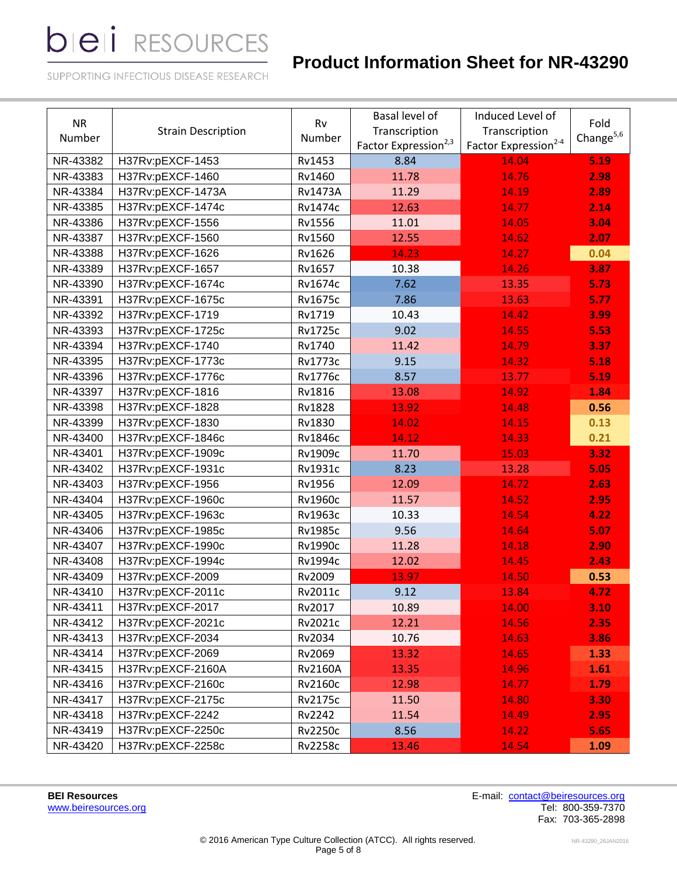# **Product Information Sheet for NR-43290**

SUPPORTING INFECTIOUS DISEASE RESEARCH

| <b>NR</b><br>Number | <b>Strain Description</b> | Basal level of<br>Rv<br>Transcription<br>Number<br>Factor Expression <sup>2,3</sup> |       | Induced Level of<br>Transcription<br>Factor Expression <sup>2-4</sup> | Fold<br>Change $5,6$ |
|---------------------|---------------------------|-------------------------------------------------------------------------------------|-------|-----------------------------------------------------------------------|----------------------|
| NR-43382            | H37Rv:pEXCF-1453          | Rv1453                                                                              | 8.84  | 14.04                                                                 | 5.19                 |
| NR-43383            | H37Rv:pEXCF-1460          | Rv1460                                                                              | 11.78 | 14.76                                                                 | 2.98                 |
| NR-43384            | H37Rv:pEXCF-1473A         | <b>Rv1473A</b>                                                                      | 11.29 | 14.19                                                                 | 2.89                 |
| NR-43385            | H37Rv:pEXCF-1474c         | <b>Rv1474c</b>                                                                      | 12.63 | 14.77                                                                 | 2.14                 |
| NR-43386            | H37Rv:pEXCF-1556          | Rv1556                                                                              | 11.01 | 14.05                                                                 | 3.04                 |
| NR-43387            | H37Rv:pEXCF-1560          | Rv1560                                                                              | 12.55 | 14.62                                                                 | 2.07                 |
| NR-43388            | H37Rv:pEXCF-1626          | Rv1626                                                                              | 14.23 | 14.27                                                                 | 0.04                 |
| NR-43389            | H37Rv:pEXCF-1657          | Rv1657                                                                              | 10.38 | 14.26                                                                 | 3.87                 |
| NR-43390            | H37Rv:pEXCF-1674c         | Rv1674c                                                                             | 7.62  | 13.35                                                                 | 5.73                 |
| NR-43391            | H37Rv:pEXCF-1675c         | <b>Rv1675c</b>                                                                      | 7.86  | 13.63                                                                 | 5.77                 |
| NR-43392            | H37Rv:pEXCF-1719          | Rv1719                                                                              | 10.43 | 14.42                                                                 | 3.99                 |
| NR-43393            | H37Rv:pEXCF-1725c         | <b>Rv1725c</b>                                                                      | 9.02  | 14.55                                                                 | 5.53                 |
| NR-43394            | H37Rv:pEXCF-1740          | Rv1740                                                                              | 11.42 | 14.79                                                                 | 3.37                 |
| NR-43395            | H37Rv:pEXCF-1773c         | <b>Rv1773c</b>                                                                      | 9.15  | 14.32                                                                 | 5.18                 |
| NR-43396            | H37Rv:pEXCF-1776c         | <b>Rv1776c</b>                                                                      | 8.57  | 13.77                                                                 | 5.19                 |
| NR-43397            | H37Rv:pEXCF-1816          | Rv1816                                                                              | 13.08 | 14.92                                                                 | 1.84                 |
| NR-43398            | H37Rv:pEXCF-1828          | <b>Rv1828</b>                                                                       | 13.92 | 14.48                                                                 | 0.56                 |
| NR-43399            | H37Rv:pEXCF-1830          | Rv1830                                                                              | 14.02 | 14.15                                                                 | 0.13                 |
| NR-43400            | H37Rv:pEXCF-1846c         | <b>Rv1846c</b>                                                                      | 14.12 | 14.33                                                                 | 0.21                 |
| NR-43401            | H37Rv:pEXCF-1909c         | Rv1909c                                                                             | 11.70 | 15.03                                                                 | 3.32                 |
| NR-43402            | H37Rv:pEXCF-1931c         | Rv1931c                                                                             | 8.23  | 13.28                                                                 | 5.05                 |
| NR-43403            | H37Rv:pEXCF-1956          | Rv1956                                                                              | 12.09 | 14.72                                                                 | 2.63                 |
| NR-43404            | H37Rv:pEXCF-1960c         | <b>Rv1960c</b>                                                                      | 11.57 | 14.52                                                                 | 2.95                 |
| NR-43405            | H37Rv:pEXCF-1963c         | Rv1963c                                                                             | 10.33 | 14.54                                                                 | 4.22                 |
| NR-43406            | H37Rv:pEXCF-1985c         | <b>Rv1985c</b>                                                                      | 9.56  | 14.64                                                                 | 5.07                 |
| NR-43407            | H37Rv:pEXCF-1990c         | <b>Rv1990c</b>                                                                      | 11.28 | 14.18                                                                 | 2.90                 |
| NR-43408            | H37Rv:pEXCF-1994c         | Rv1994c                                                                             | 12.02 | 14.45                                                                 | 2.43                 |
| NR-43409            | H37Rv:pEXCF-2009          | Rv2009                                                                              | 13.97 | 14.50                                                                 | 0.53                 |
| NR-43410            | H37Rv:pEXCF-2011c         | Rv2011c                                                                             | 9.12  | 13.84                                                                 | 4.72                 |
| NR-43411            | H37Rv:pEXCF-2017          | Rv2017                                                                              | 10.89 | 14.00                                                                 | 3.10                 |
| NR-43412            | H37Rv:pEXCF-2021c         | Rv2021c                                                                             | 12.21 | 14.56                                                                 | 2.35                 |
| NR-43413            | H37Rv:pEXCF-2034          | Rv2034                                                                              | 10.76 | 14.63                                                                 | 3.86                 |
| NR-43414            | H37Rv:pEXCF-2069          | Rv2069                                                                              | 13.32 | 14.65                                                                 | 1.33                 |
| NR-43415            | H37Rv:pEXCF-2160A         | <b>Rv2160A</b>                                                                      | 13.35 | 14.96                                                                 | 1.61                 |
| NR-43416            | H37Rv:pEXCF-2160c         | <b>Rv2160c</b>                                                                      | 12.98 | 14.77                                                                 | 1.79                 |
| NR-43417            | H37Rv:pEXCF-2175c         | <b>Rv2175c</b>                                                                      | 11.50 | 14.80                                                                 | 3.30                 |
| NR-43418            | H37Rv:pEXCF-2242          | Rv2242                                                                              | 11.54 | 14.49                                                                 | 2.95                 |
| NR-43419            | H37Rv:pEXCF-2250c         | <b>Rv2250c</b>                                                                      | 8.56  | 14.22                                                                 | 5.65                 |
| NR-43420            | H37Rv:pEXCF-2258c         | <b>Rv2258c</b>                                                                      | 13.46 | 14.54                                                                 | 1.09                 |

[www.beiresources.org](http://www.beiresources.org/)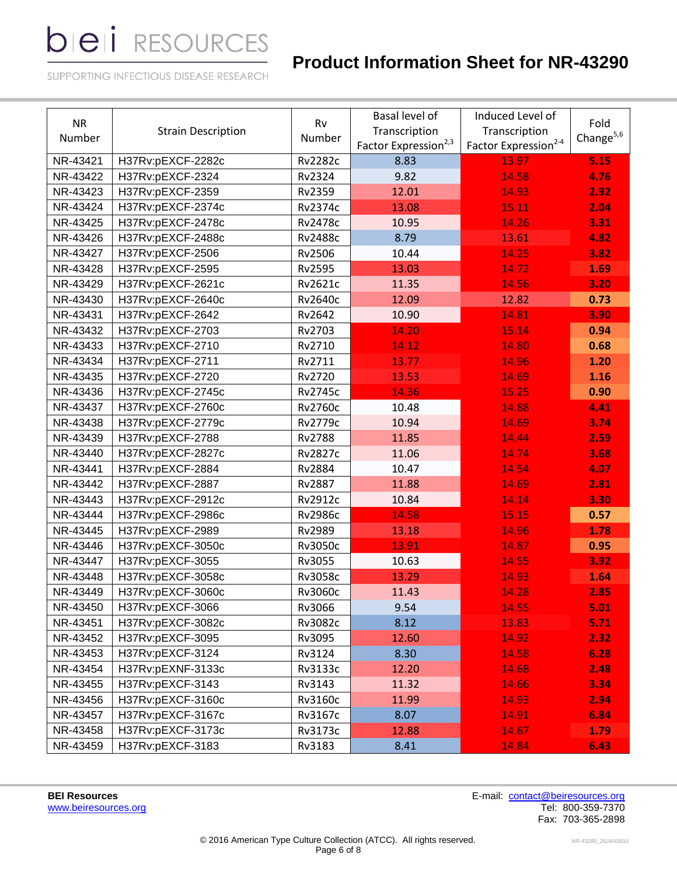# **Product Information Sheet for NR-43290**

SUPPORTING INFECTIOUS DISEASE RESEARCH

| <b>NR</b><br>Number | <b>Strain Description</b> | Rv<br>Number   | Basal level of<br>Transcription<br>Factor Expression <sup>2,3</sup> | Induced Level of<br>Transcription<br>Factor Expression <sup>2-4</sup> | Fold<br>Change $5,6$ |
|---------------------|---------------------------|----------------|---------------------------------------------------------------------|-----------------------------------------------------------------------|----------------------|
| NR-43421            | H37Rv:pEXCF-2282c         | <b>Rv2282c</b> | 8.83                                                                | 13.97                                                                 | 5.15                 |
| NR-43422            | H37Rv:pEXCF-2324          | Rv2324         | 9.82                                                                | 14.58                                                                 | 4.76                 |
| NR-43423            | H37Rv:pEXCF-2359          | Rv2359         | 12.01                                                               | 14.93                                                                 | 2.92                 |
| NR-43424            | H37Rv:pEXCF-2374c         | Rv2374c        | 13.08                                                               | 15.11                                                                 | 2.04                 |
| NR-43425            | H37Rv:pEXCF-2478c         | <b>Rv2478c</b> | 10.95                                                               | 14.26                                                                 | 3.31                 |
| NR-43426            | H37Rv:pEXCF-2488c         | <b>Rv2488c</b> | 8.79                                                                | 13.61                                                                 | 4.82                 |
| NR-43427            | H37Rv:pEXCF-2506          | Rv2506         | 10.44                                                               | 14.25                                                                 | 3.82                 |
| NR-43428            | H37Rv:pEXCF-2595          | Rv2595         | 13.03                                                               | 14.72                                                                 | 1.69                 |
| NR-43429            | H37Rv:pEXCF-2621c         | Rv2621c        | 11.35                                                               | 14.56                                                                 | 3.20                 |
| NR-43430            | H37Rv:pEXCF-2640c         | <b>Rv2640c</b> | 12.09                                                               | 12.82                                                                 | 0.73                 |
| NR-43431            | H37Rv:pEXCF-2642          | Rv2642         | 10.90                                                               | 14.81                                                                 | 3.90                 |
| NR-43432            | H37Rv:pEXCF-2703          | Rv2703         | 14.20                                                               | 15.14                                                                 | 0.94                 |
| NR-43433            | H37Rv:pEXCF-2710          | Rv2710         | 14.12                                                               | 14.80                                                                 | 0.68                 |
| NR-43434            | H37Rv:pEXCF-2711          | Rv2711         | 13.77                                                               | 14.96                                                                 | 1.20                 |
| NR-43435            | H37Rv:pEXCF-2720          | Rv2720         | 13.53                                                               | 14.69                                                                 | 1.16                 |
| NR-43436            | H37Rv:pEXCF-2745c         | <b>Rv2745c</b> | 14.36                                                               | 15.25                                                                 | 0.90                 |
| NR-43437            | H37Rv:pEXCF-2760c         | <b>Rv2760c</b> | 10.48                                                               | 14.88                                                                 | 4.41                 |
| NR-43438            | H37Rv:pEXCF-2779c         | Rv2779c        | 10.94                                                               | 14.69                                                                 | 3.74                 |
| NR-43439            | H37Rv:pEXCF-2788          | <b>Rv2788</b>  | 11.85                                                               | 14.44                                                                 | 2.59                 |
| NR-43440            | H37Rv:pEXCF-2827c         | <b>Rv2827c</b> | 11.06                                                               | 14.74                                                                 | 3.68                 |
| NR-43441            | H37Rv:pEXCF-2884          | <b>Rv2884</b>  | 10.47                                                               | 14.54                                                                 | 4.07                 |
| NR-43442            | H37Rv:pEXCF-2887          | <b>Rv2887</b>  | 11.88                                                               | 14.69                                                                 | 2.81                 |
| NR-43443            | H37Rv:pEXCF-2912c         | <b>Rv2912c</b> | 10.84                                                               | 14.14                                                                 | 3.30                 |
| NR-43444            | H37Rv:pEXCF-2986c         | <b>Rv2986c</b> | 14.58                                                               | 15.15                                                                 | 0.57                 |
| NR-43445            | H37Rv:pEXCF-2989          | Rv2989         | 13.18                                                               | 14.96                                                                 | 1.78                 |
| NR-43446            | H37Rv:pEXCF-3050c         | Rv3050c        | 13.91                                                               | 14.87                                                                 | 0.95                 |
| NR-43447            | H37Rv:pEXCF-3055          | Rv3055         | 10.63                                                               | 14.55                                                                 | 3.92                 |
| NR-43448            | H37Rv:pEXCF-3058c         | <b>Rv3058c</b> | 13.29                                                               | 14.93                                                                 | 1.64                 |
| NR-43449            | H37Rv:pEXCF-3060c         | Rv3060c        | 11.43                                                               | 14.28                                                                 | 2.85                 |
| NR-43450            | H37Rv:pEXCF-3066          | Rv3066         | 9.54                                                                | 14.55                                                                 | 5.01                 |
| NR-43451            | H37Rv:pEXCF-3082c         | Rv3082c        | 8.12                                                                | 13.83                                                                 | 5.71                 |
| NR-43452            | H37Rv:pEXCF-3095          | Rv3095         | 12.60                                                               | 14.92                                                                 | 2.32                 |
| NR-43453            | H37Rv:pEXCF-3124          | Rv3124         | 8.30                                                                | 14.58                                                                 | 6.28                 |
| NR-43454            | H37Rv:pEXNF-3133c         | Rv3133c        | 12.20                                                               | 14.68                                                                 | 2.48                 |
| NR-43455            | H37Rv:pEXCF-3143          | Rv3143         | 11.32                                                               | 14.66                                                                 | 3.34                 |
| NR-43456            | H37Rv:pEXCF-3160c         | Rv3160c        | 11.99                                                               | 14.93                                                                 | 2.94                 |
| NR-43457            | H37Rv:pEXCF-3167c         | Rv3167c        | 8.07                                                                | 14.91                                                                 | 6.84                 |
| NR-43458            | H37Rv:pEXCF-3173c         | Rv3173c        | 12.88                                                               | 14.67                                                                 | 1.79                 |
| NR-43459            | H37Rv:pEXCF-3183          | Rv3183         | 8.41                                                                | 14.84                                                                 | 6.43                 |

[www.beiresources.org](http://www.beiresources.org/)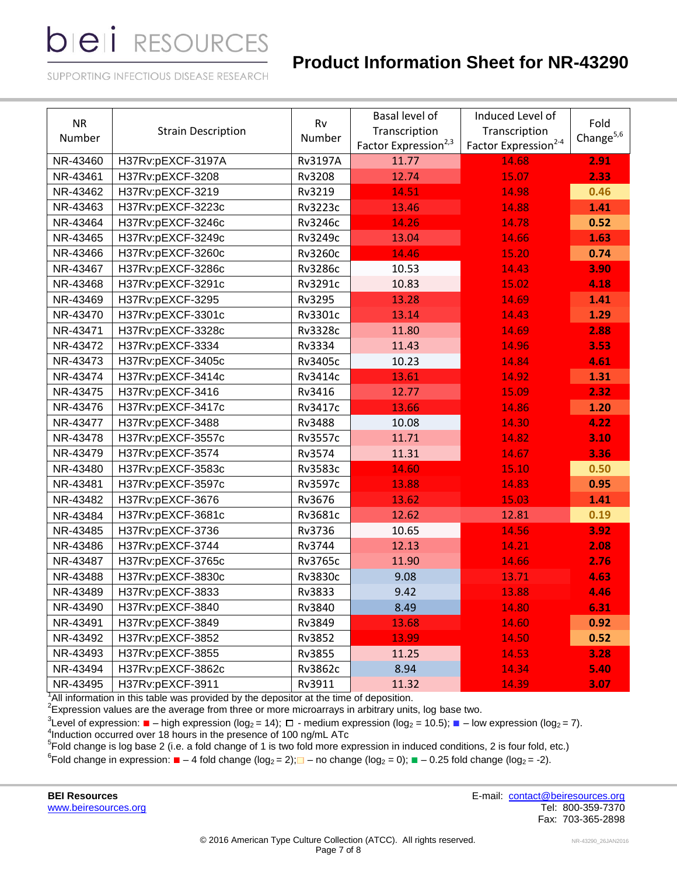## **Product Information Sheet for NR-43290**

SUPPORTING INFECTIOUS DISEASE RESEARCH

| <b>NR</b><br>Number | <b>Strain Description</b> | Rv<br>Number   | Basal level of<br>Transcription<br>Factor Expression <sup>2,3</sup> | Induced Level of<br>Transcription<br>Factor Expression <sup>2-4</sup> | Fold<br>Change $5,6$ |
|---------------------|---------------------------|----------------|---------------------------------------------------------------------|-----------------------------------------------------------------------|----------------------|
| NR-43460            | H37Rv:pEXCF-3197A         | <b>Rv3197A</b> | 11.77                                                               | 14.68                                                                 | 2.91                 |
| NR-43461            | H37Rv:pEXCF-3208          | Rv3208         | 12.74                                                               | 15.07                                                                 | 2.33                 |
| NR-43462            | H37Rv:pEXCF-3219          | Rv3219         | 14.51                                                               | 14.98                                                                 | 0.46                 |
| NR-43463            | H37Rv:pEXCF-3223c         | Rv3223c        | 13.46                                                               | 14.88                                                                 | 1.41                 |
| NR-43464            | H37Rv:pEXCF-3246c         | Rv3246c        | 14.26                                                               | 14.78                                                                 | 0.52                 |
| NR-43465            | H37Rv:pEXCF-3249c         | Rv3249c        | 13.04                                                               | 14.66                                                                 | 1.63                 |
| NR-43466            | H37Rv:pEXCF-3260c         | Rv3260c        | 14.46                                                               | 15.20                                                                 | 0.74                 |
| NR-43467            | H37Rv:pEXCF-3286c         | <b>Rv3286c</b> | 10.53                                                               | 14.43                                                                 | 3.90                 |
| NR-43468            | H37Rv:pEXCF-3291c         | Rv3291c        | 10.83                                                               | 15.02                                                                 | 4.18                 |
| NR-43469            | H37Rv:pEXCF-3295          | Rv3295         | 13.28                                                               | 14.69                                                                 | 1.41                 |
| NR-43470            | H37Rv:pEXCF-3301c         | Rv3301c        | 13.14                                                               | 14.43                                                                 | 1.29                 |
| NR-43471            | H37Rv:pEXCF-3328c         | Rv3328c        | 11.80                                                               | 14.69                                                                 | 2.88                 |
| NR-43472            | H37Rv:pEXCF-3334          | Rv3334         | 11.43                                                               | 14.96                                                                 | 3.53                 |
| NR-43473            | H37Rv:pEXCF-3405c         | Rv3405c        | 10.23                                                               | 14.84                                                                 | 4.61                 |
| NR-43474            | H37Rv:pEXCF-3414c         | Rv3414c        | 13.61                                                               | 14.92                                                                 | 1.31                 |
| NR-43475            | H37Rv:pEXCF-3416          | Rv3416         | 12.77                                                               | 15.09                                                                 | 2.32                 |
| NR-43476            | H37Rv:pEXCF-3417c         | Rv3417c        | 13.66                                                               | 14.86                                                                 | 1.20                 |
| NR-43477            | H37Rv:pEXCF-3488          | Rv3488         | 10.08                                                               | 14.30                                                                 | 4.22                 |
| NR-43478            | H37Rv:pEXCF-3557c         | <b>Rv3557c</b> | 11.71                                                               | 14.82                                                                 | 3.10                 |
| NR-43479            | H37Rv:pEXCF-3574          | Rv3574         | 11.31                                                               | 14.67                                                                 | 3.36                 |
| NR-43480            | H37Rv:pEXCF-3583c         | <b>Rv3583c</b> | 14.60                                                               | 15.10                                                                 | 0.50                 |
| NR-43481            | H37Rv:pEXCF-3597c         | Rv3597c        | 13.88                                                               | 14.83                                                                 | 0.95                 |
| NR-43482            | H37Rv:pEXCF-3676          | Rv3676         | 13.62                                                               | 15.03                                                                 | 1.41                 |
| NR-43484            | H37Rv:pEXCF-3681c         | Rv3681c        | 12.62                                                               | 12.81                                                                 | 0.19                 |
| NR-43485            | H37Rv:pEXCF-3736          | Rv3736         | 10.65                                                               | 14.56                                                                 | 3.92                 |
| NR-43486            | H37Rv:pEXCF-3744          | Rv3744         | 12.13                                                               | 14.21                                                                 | 2.08                 |
| NR-43487            | H37Rv:pEXCF-3765c         | Rv3765c        | 11.90                                                               | 14.66                                                                 | 2.76                 |
| NR-43488            | H37Rv:pEXCF-3830c         | Rv3830c        | 9.08                                                                | 13.71                                                                 | 4.63                 |
| NR-43489            | H37Rv:pEXCF-3833          | Rv3833         | 9.42                                                                | 13.88                                                                 | 4.46                 |
| NR-43490            | H37Rv:pEXCF-3840          | Rv3840         | 8.49                                                                | 14.80                                                                 | 6.31                 |
| NR-43491            | H37Rv:pEXCF-3849          | Rv3849         | 13.68                                                               | 14.60                                                                 | 0.92                 |
| NR-43492            | H37Rv:pEXCF-3852          | Rv3852         | 13.99                                                               | 14.50                                                                 | 0.52                 |
| NR-43493            | H37Rv:pEXCF-3855          | Rv3855         | 11.25                                                               | 14.53                                                                 | 3.28                 |
| NR-43494            | H37Rv:pEXCF-3862c         | Rv3862c        | 8.94                                                                | 14.34                                                                 | 5.40                 |
| NR-43495            | H37Rv:pEXCF-3911          | Rv3911         | 11.32                                                               | 14.39                                                                 | 3.07                 |

 $1$ All information in this table was provided by the depositor at the time of deposition.

 $2$ Expression values are the average from three or more microarrays in arbitrary units, log base two.

 ${}^{3}$ Level of expression:  $\blacksquare$  – high expression (log<sub>2</sub> = 14);  $\Box$  - medium expression (log<sub>2</sub> = 10.5);  $\blacksquare$  – low expression (log<sub>2</sub> = 7).<br><sup>4</sup>Induction occurred over 18 hours in the presence of 100 ng/mL ATc<br><sup>5</sup>Fo

<sup>6</sup>Fold change in expression: ■ – 4 fold change (log<sub>2</sub> = 2);■ – no change (log<sub>2</sub> = 0); ■ – 0.25 fold change (log<sub>2</sub> = -2).

[www.beiresources.org](http://www.beiresources.org/)

**BEI Resources** E-mail: [contact@beiresources.org](mailto:contact@beiresources.org) Fax: 703-365-2898